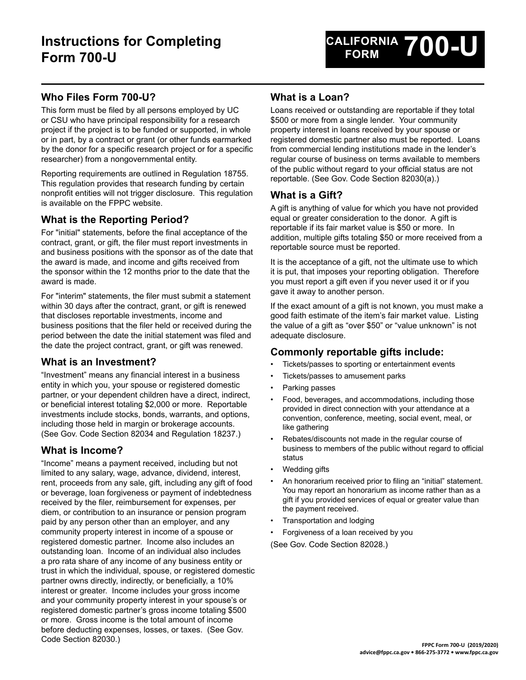# **Who Files Form 700-U?**

This form must be filed by all persons employed by UC or CSU who have principal responsibility for a research project if the project is to be funded or supported, in whole or in part, by a contract or grant (or other funds earmarked by the donor for a specific research project or for a specific researcher) from a nongovernmental entity.

Reporting requirements are outlined in Regulation 18755. This regulation provides that research funding by certain nonprofit entities will not trigger disclosure. This regulation is available on the FPPC website.

## **What is the Reporting Period?**

For "initial" statements, before the final acceptance of the contract, grant, or gift, the filer must report investments in and business positions with the sponsor as of the date that the award is made, and income and gifts received from the sponsor within the 12 months prior to the date that the award is made.

For "interim" statements, the filer must submit a statement within 30 days after the contract, grant, or gift is renewed that discloses reportable investments, income and business positions that the filer held or received during the period between the date the initial statement was filed and the date the project contract, grant, or gift was renewed.

### **What is an Investment?**

"Investment" means any financial interest in a business entity in which you, your spouse or registered domestic partner, or your dependent children have a direct, indirect, or beneficial interest totaling \$2,000 or more. Reportable investments include stocks, bonds, warrants, and options, including those held in margin or brokerage accounts. (See Gov. Code Section 82034 and Regulation 18237.)

## **What is Income?**

"Income" means a payment received, including but not limited to any salary, wage, advance, dividend, interest, rent, proceeds from any sale, gift, including any gift of food or beverage, loan forgiveness or payment of indebtedness received by the filer, reimbursement for expenses, per diem, or contribution to an insurance or pension program paid by any person other than an employer, and any community property interest in income of a spouse or registered domestic partner. Income also includes an outstanding loan. Income of an individual also includes a pro rata share of any income of any business entity or trust in which the individual, spouse, or registered domestic partner owns directly, indirectly, or beneficially, a 10% interest or greater. Income includes your gross income and your community property interest in your spouse's or registered domestic partner's gross income totaling \$500 or more. Gross income is the total amount of income before deducting expenses, losses, or taxes. (See Gov. Code Section 82030.)

## **What is a Loan?**

Loans received or outstanding are reportable if they total \$500 or more from a single lender. Your community property interest in loans received by your spouse or registered domestic partner also must be reported. Loans from commercial lending institutions made in the lender's regular course of business on terms available to members of the public without regard to your official status are not reportable. (See Gov. Code Section 82030(a).)

## **What is a Gift?**

A gift is anything of value for which you have not provided equal or greater consideration to the donor. A gift is reportable if its fair market value is \$50 or more. In addition, multiple gifts totaling \$50 or more received from a reportable source must be reported.

It is the acceptance of a gift, not the ultimate use to which it is put, that imposes your reporting obligation. Therefore you must report a gift even if you never used it or if you gave it away to another person.

If the exact amount of a gift is not known, you must make a good faith estimate of the item's fair market value. Listing the value of a gift as "over \$50" or "value unknown" is not adequate disclosure.

### **Commonly reportable gifts include:**

- Tickets/passes to sporting or entertainment events
- Tickets/passes to amusement parks
- Parking passes
- Food, beverages, and accommodations, including those provided in direct connection with your attendance at a convention, conference, meeting, social event, meal, or like gathering
- Rebates/discounts not made in the regular course of business to members of the public without regard to official status
- Wedding gifts
- An honorarium received prior to filing an "initial" statement. You may report an honorarium as income rather than as a gift if you provided services of equal or greater value than the payment received.
- Transportation and lodging
- Forgiveness of a loan received by you

(See Gov. Code Section 82028.)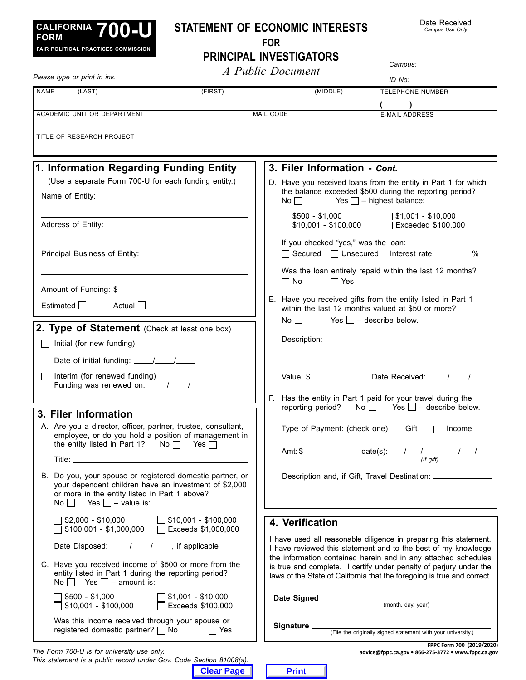

*This statement is a public record under Gov. Code Section 81008(a).*

# **Statement of Economic Interests**

Date Received *Campus Use Only*

**For**

|                                                                                                                                                                                                            |                           | <b>PRINCIPAL INVESTIGATORS</b>                                                                                                                                                                                  |  |
|------------------------------------------------------------------------------------------------------------------------------------------------------------------------------------------------------------|---------------------------|-----------------------------------------------------------------------------------------------------------------------------------------------------------------------------------------------------------------|--|
| Please type or print in ink.                                                                                                                                                                               |                           | A Public Document                                                                                                                                                                                               |  |
| <b>NAME</b><br>(LAST)                                                                                                                                                                                      | (FIRST)                   | (MIDDLE)<br><b>TELEPHONE NUMBER</b>                                                                                                                                                                             |  |
| ACADEMIC UNIT OR DEPARTMENT                                                                                                                                                                                |                           | $\overline{\phantom{a}}$<br><b>MAIL CODE</b><br><b>E-MAIL ADDRESS</b>                                                                                                                                           |  |
| TITLE OF RESEARCH PROJECT                                                                                                                                                                                  |                           |                                                                                                                                                                                                                 |  |
| 1. Information Regarding Funding Entity                                                                                                                                                                    |                           | 3. Filer Information - Cont.                                                                                                                                                                                    |  |
| (Use a separate Form 700-U for each funding entity.)<br>Name of Entity:                                                                                                                                    |                           | D. Have you received loans from the entity in Part 1 for which<br>the balance exceeded \$500 during the reporting period?<br>Yes $\Box$ – highest balance:<br>$\mathsf{No} \ \Box$                              |  |
| Address of Entity:                                                                                                                                                                                         |                           | $\sqrt{ }$ \$500 - \$1,000<br>$\Box$ \$1,001 - \$10,000<br>$\Box$ \$10,001 - \$100,000<br>$\Box$ Exceeded \$100,000                                                                                             |  |
| Principal Business of Entity:                                                                                                                                                                              |                           | If you checked "yes," was the loan:<br>□ Secured □ Unsecured Interest rate: ________%                                                                                                                           |  |
| Amount of Funding: \$                                                                                                                                                                                      |                           | Was the loan entirely repaid within the last 12 months?<br>$\Box$ No<br>$\Box$ Yes                                                                                                                              |  |
| Estimated $\Box$<br>Actual $\Box$                                                                                                                                                                          |                           | E. Have you received gifts from the entity listed in Part 1<br>within the last 12 months valued at \$50 or more?<br>$No \bigsqcup$ Yes $\bigsqcup$ – describe below.                                            |  |
| 2. Type of Statement (Check at least one box)                                                                                                                                                              |                           |                                                                                                                                                                                                                 |  |
| Initial (for new funding)<br>$\blacksquare$                                                                                                                                                                |                           |                                                                                                                                                                                                                 |  |
|                                                                                                                                                                                                            |                           |                                                                                                                                                                                                                 |  |
| Interim (for renewed funding)                                                                                                                                                                              |                           |                                                                                                                                                                                                                 |  |
|                                                                                                                                                                                                            |                           | F. Has the entity in Part 1 paid for your travel during the<br>No $\Box$ Yes $\Box$ – describe below.<br>reporting period?                                                                                      |  |
| 3. Filer Information                                                                                                                                                                                       |                           |                                                                                                                                                                                                                 |  |
| A. Are you a director, officer, partner, trustee, consultant,<br>employee, or do you hold a position of management in<br>the entity listed in Part 1? No $\Box$ Yes $\Box$                                 |                           | Type of Payment: (check one) $\Box$ Gift<br>Income                                                                                                                                                              |  |
|                                                                                                                                                                                                            |                           |                                                                                                                                                                                                                 |  |
| Do you, your spouse or registered domestic partner, or<br>В.<br>your dependent children have an investment of \$2,000<br>or more in the entity listed in Part 1 above?<br>No $\Box$ Yes $\Box$ – value is: |                           | Description and, if Gift, Travel Destination: __________________________________                                                                                                                                |  |
| $$2,000 - $10,000$ \$10,001 - \$100,000<br>$$100,001 - $1,000,000$ Exceeds \$1,000,000                                                                                                                     |                           | 4. Verification                                                                                                                                                                                                 |  |
| Date Disposed: ____/____/____, if applicable                                                                                                                                                               |                           | I have used all reasonable diligence in preparing this statement.<br>I have reviewed this statement and to the best of my knowledge                                                                             |  |
| C. Have you received income of \$500 or more from the<br>entity listed in Part 1 during the reporting period?<br>No $\Box$ Yes $\Box$ – amount is:                                                         |                           | the information contained herein and in any attached schedules<br>is true and complete. I certify under penalty of perjury under the<br>laws of the State of California that the foregoing is true and correct. |  |
| $$500 - $1,000$<br>$$10,001 - $100,000$ Exceeds \$100,000                                                                                                                                                  | $\Box$ \$1,001 - \$10,000 |                                                                                                                                                                                                                 |  |
| Was this income received through your spouse or<br>registered domestic partner? □ No                                                                                                                       | $\Box$ Yes                |                                                                                                                                                                                                                 |  |
| The Form 700-U is for university use only.                                                                                                                                                                 |                           | FPPC Form 700 (2019/2020)<br>advice@fppc.ca.gov . 866-275-3772 . www.fppc.ca.gov                                                                                                                                |  |

**Clear Page Print**